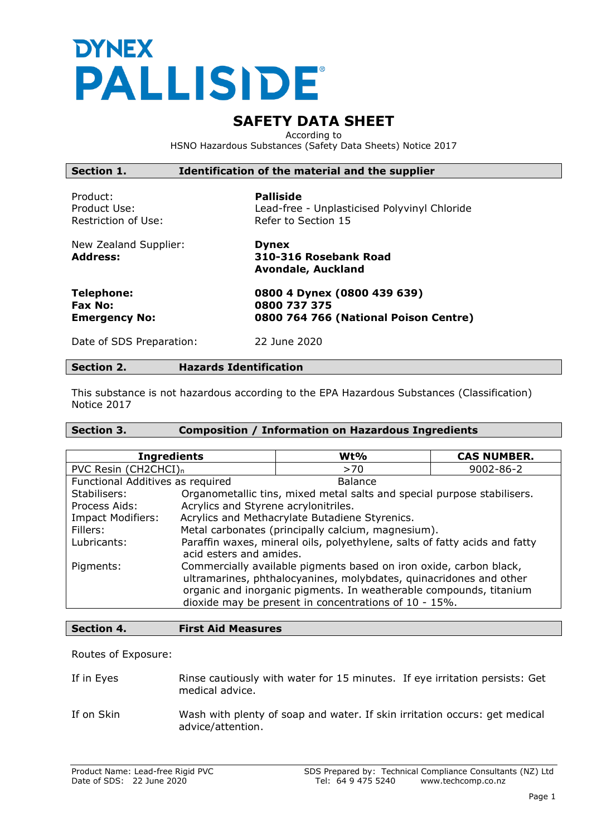# **DYNEX** PALLISIDE®

# **SAFETY DATA SHEET**

According to HSNO Hazardous Substances (Safety Data Sheets) Notice 2017

| Section 1.                                           | Identification of the material and the supplier                                         |
|------------------------------------------------------|-----------------------------------------------------------------------------------------|
| Product:<br>Product Use:<br>Restriction of Use:      | <b>Palliside</b><br>Lead-free - Unplasticised Polyvinyl Chloride<br>Refer to Section 15 |
| New Zealand Supplier:<br><b>Address:</b>             | <b>Dynex</b><br>310-316 Rosebank Road<br><b>Avondale, Auckland</b>                      |
| <b>Telephone:</b><br>Fax No:<br><b>Emergency No:</b> | 0800 4 Dynex (0800 439 639)<br>0800 737 375<br>0800 764 766 (National Poison Centre)    |
| Date of SDS Preparation:                             | 22 June 2020                                                                            |
| <b>Section 2.</b>                                    | <b>Hazards Identification</b>                                                           |

This substance is not hazardous according to the EPA Hazardous Substances (Classification) Notice 2017

# **Section 3. Composition / Information on Hazardous Ingredients**

| <b>Ingredients</b>                                                                                                   | $Wt\%$                                                                                                                                                                                                                                                                  | <b>CAS NUMBER.</b> |
|----------------------------------------------------------------------------------------------------------------------|-------------------------------------------------------------------------------------------------------------------------------------------------------------------------------------------------------------------------------------------------------------------------|--------------------|
| PVC Resin (CH2CHCI) <sub>n</sub>                                                                                     | >70                                                                                                                                                                                                                                                                     | 9002-86-2          |
| Functional Additives as required                                                                                     | <b>Balance</b>                                                                                                                                                                                                                                                          |                    |
| Stabilisers:                                                                                                         | Organometallic tins, mixed metal salts and special purpose stabilisers.                                                                                                                                                                                                 |                    |
| Acrylics and Styrene acrylonitriles.<br>Process Aids:                                                                |                                                                                                                                                                                                                                                                         |                    |
| <b>Impact Modifiers:</b>                                                                                             | Acrylics and Methacrylate Butadiene Styrenics.                                                                                                                                                                                                                          |                    |
| Metal carbonates (principally calcium, magnesium).<br>Fillers:                                                       |                                                                                                                                                                                                                                                                         |                    |
| Paraffin waxes, mineral oils, polyethylene, salts of fatty acids and fatty<br>Lubricants:<br>acid esters and amides. |                                                                                                                                                                                                                                                                         |                    |
| Pigments:                                                                                                            | Commercially available pigments based on iron oxide, carbon black,<br>ultramarines, phthalocyanines, molybdates, quinacridones and other<br>organic and inorganic pigments. In weatherable compounds, titanium<br>dioxide may be present in concentrations of 10 - 15%. |                    |

# **Section 4. First Aid Measures**

Routes of Exposure:

| If in Eyes | Rinse cautiously with water for 15 minutes. If eye irritation persists: Get |  |
|------------|-----------------------------------------------------------------------------|--|
|            | medical advice.                                                             |  |

If on Skin Wash with plenty of soap and water. If skin irritation occurs: get medical advice/attention.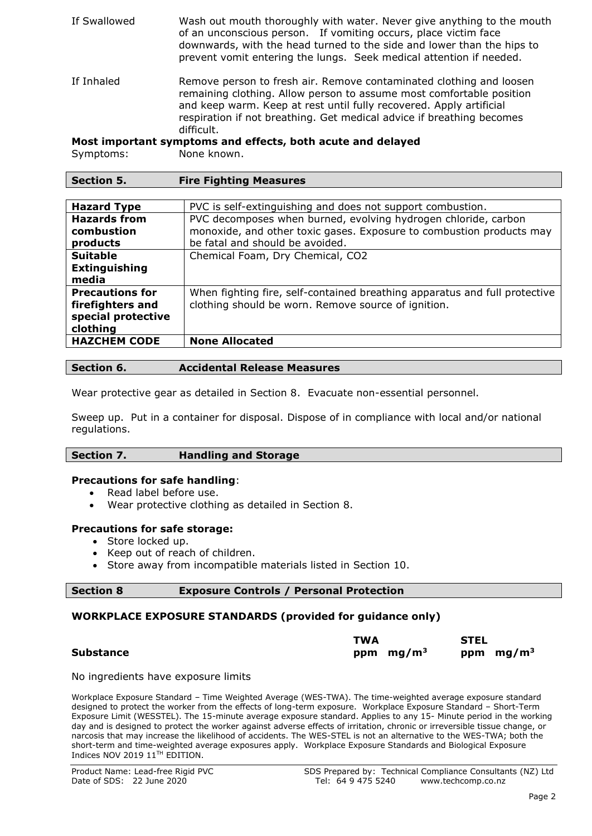| If Swallowed | Wash out mouth thoroughly with water. Never give anything to the mouth<br>of an unconscious person. If vomiting occurs, place victim face<br>downwards, with the head turned to the side and lower than the hips to<br>prevent vomit entering the lungs. Seek medical attention if needed.                |
|--------------|-----------------------------------------------------------------------------------------------------------------------------------------------------------------------------------------------------------------------------------------------------------------------------------------------------------|
| If Inhaled   | Remove person to fresh air. Remove contaminated clothing and loosen<br>remaining clothing. Allow person to assume most comfortable position<br>and keep warm. Keep at rest until fully recovered. Apply artificial<br>respiration if not breathing. Get medical advice if breathing becomes<br>difficult. |
|              | Most important symptoms and effects, both acute and delayed                                                                                                                                                                                                                                               |

Symptoms: None known.

| <b>Section 5.</b> | <b>Fire Fighting Measures</b> |  |
|-------------------|-------------------------------|--|

| <b>Hazard Type</b>     | PVC is self-extinguishing and does not support combustion.                 |
|------------------------|----------------------------------------------------------------------------|
| <b>Hazards from</b>    | PVC decomposes when burned, evolving hydrogen chloride, carbon             |
| combustion             | monoxide, and other toxic gases. Exposure to combustion products may       |
| products               | be fatal and should be avoided.                                            |
| <b>Suitable</b>        | Chemical Foam, Dry Chemical, CO2                                           |
| <b>Extinguishing</b>   |                                                                            |
| media                  |                                                                            |
| <b>Precautions for</b> | When fighting fire, self-contained breathing apparatus and full protective |
| firefighters and       | clothing should be worn. Remove source of ignition.                        |
| special protective     |                                                                            |
| clothing               |                                                                            |
| <b>HAZCHEM CODE</b>    | <b>None Allocated</b>                                                      |
|                        |                                                                            |

#### **Section 6. Accidental Release Measures**

Wear protective gear as detailed in Section 8. Evacuate non-essential personnel.

Sweep up. Put in a container for disposal. Dispose of in compliance with local and/or national regulations.

| Section 7. | <b>Handling and Storage</b> |
|------------|-----------------------------|
|            |                             |

#### **Precautions for safe handling**:

- Read label before use.
- Wear protective clothing as detailed in Section 8.

#### **Precautions for safe storage:**

- Store locked up.
- Keep out of reach of children.
- Store away from incompatible materials listed in Section 10.

| <b>Section 8</b> | <b>Exposure Controls / Personal</b> |  |
|------------------|-------------------------------------|--|
|------------------|-------------------------------------|--|

## **WORKPLACE EXPOSURE STANDARDS (provided for guidance only)**

|                  | TWA |             | <b>STEL</b> |             |
|------------------|-----|-------------|-------------|-------------|
| <b>Substance</b> |     | ppm $mg/m3$ |             | ppm $mg/m3$ |

**Protection** 

No ingredients have exposure limits

Workplace Exposure Standard – Time Weighted Average (WES-TWA). The time-weighted average exposure standard designed to protect the worker from the effects of long-term exposure. Workplace Exposure Standard – Short-Term Exposure Limit (WESSTEL). The 15-minute average exposure standard. Applies to any 15- Minute period in the working day and is designed to protect the worker against adverse effects of irritation, chronic or irreversible tissue change, or narcosis that may increase the likelihood of accidents. The WES-STEL is not an alternative to the WES-TWA; both the short-term and time-weighted average exposures apply. Workplace Exposure Standards and Biological Exposure Indices NOV 2019 11<sup>TH</sup> EDITION.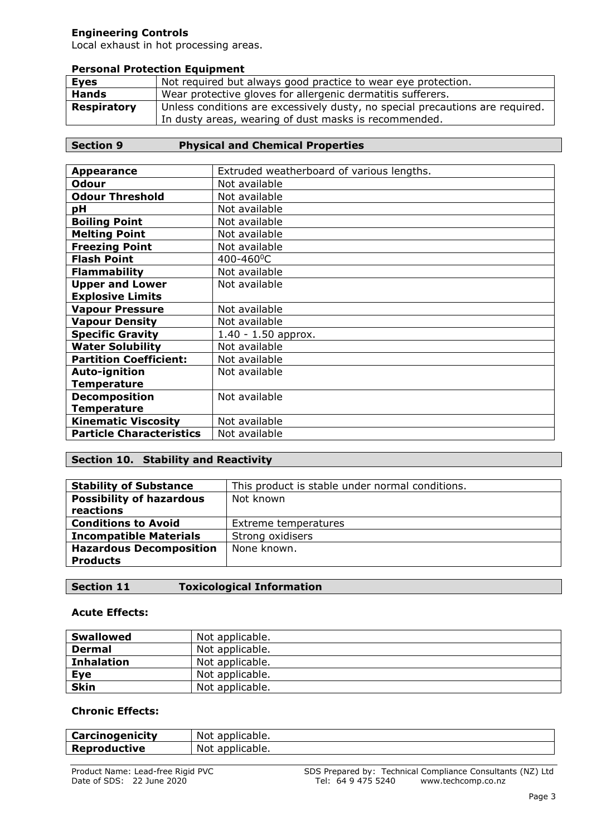# **Engineering Controls**

Local exhaust in hot processing areas.

#### **Personal Protection Equipment**

| <b>Eyes</b>  | Not required but always good practice to wear eye protection.                                                                          |
|--------------|----------------------------------------------------------------------------------------------------------------------------------------|
| <b>Hands</b> | Wear protective gloves for allergenic dermatitis sufferers.                                                                            |
| Respiratory  | Unless conditions are excessively dusty, no special precautions are required.<br>In dusty areas, wearing of dust masks is recommended. |

# **Section 9 Physical and Chemical Properties**

| <b>Appearance</b>               | Extruded weatherboard of various lengths. |
|---------------------------------|-------------------------------------------|
| <b>Odour</b>                    | Not available                             |
| <b>Odour Threshold</b>          | Not available                             |
| рH                              | Not available                             |
| <b>Boiling Point</b>            | Not available                             |
| <b>Melting Point</b>            | Not available                             |
| <b>Freezing Point</b>           | Not available                             |
| <b>Flash Point</b>              | 400-460°C                                 |
| <b>Flammability</b>             | Not available                             |
| <b>Upper and Lower</b>          | Not available                             |
| <b>Explosive Limits</b>         |                                           |
| <b>Vapour Pressure</b>          | Not available                             |
| <b>Vapour Density</b>           | Not available                             |
| <b>Specific Gravity</b>         | $1.40 - 1.50$ approx.                     |
| <b>Water Solubility</b>         | Not available                             |
| <b>Partition Coefficient:</b>   | Not available                             |
| Auto-ignition                   | Not available                             |
| <b>Temperature</b>              |                                           |
| <b>Decomposition</b>            | Not available                             |
| <b>Temperature</b>              |                                           |
| <b>Kinematic Viscosity</b>      | Not available                             |
| <b>Particle Characteristics</b> | Not available                             |

# **Section 10. Stability and Reactivity**

| <b>Stability of Substance</b>   | This product is stable under normal conditions. |
|---------------------------------|-------------------------------------------------|
| <b>Possibility of hazardous</b> | Not known                                       |
| reactions                       |                                                 |
| <b>Conditions to Avoid</b>      | Extreme temperatures                            |
| <b>Incompatible Materials</b>   | Strong oxidisers                                |
| <b>Hazardous Decomposition</b>  | None known.                                     |
| <b>Products</b>                 |                                                 |

# **Section 11 Toxicological Information**

## **Acute Effects:**

| <b>Swallowed</b>  | Not applicable. |
|-------------------|-----------------|
| <b>Dermal</b>     | Not applicable. |
| <b>Inhalation</b> | Not applicable. |
| Eye               | Not applicable. |
| <b>Skin</b>       | Not applicable. |

# **Chronic Effects:**

| Carcinogenicity     | Not applicable. |
|---------------------|-----------------|
| <b>Reproductive</b> | Not applicable. |
|                     |                 |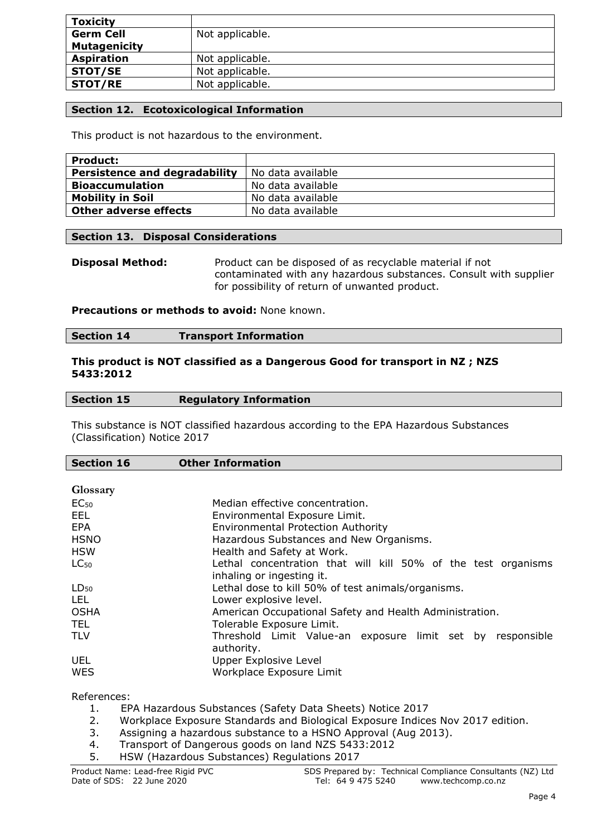| <b>Toxicity</b>     |                 |
|---------------------|-----------------|
| <b>Germ Cell</b>    | Not applicable. |
| <b>Mutagenicity</b> |                 |
| <b>Aspiration</b>   | Not applicable. |
| <b>STOT/SE</b>      | Not applicable. |
| STOT/RE             | Not applicable. |

# **Section 12. Ecotoxicological Information**

This product is not hazardous to the environment.

| <b>Product:</b>               |                   |
|-------------------------------|-------------------|
| Persistence and degradability | No data available |
| <b>Bioaccumulation</b>        | No data available |
| <b>Mobility in Soil</b>       | No data available |
| <b>Other adverse effects</b>  | No data available |

#### **Section 13. Disposal Considerations**

**Disposal Method:** Product can be disposed of as recyclable material if not contaminated with any hazardous substances. Consult with supplier for possibility of return of unwanted product.

## **Precautions or methods to avoid:** None known.

|  | <b>Section 14</b> | <b>Transport Information</b> |
|--|-------------------|------------------------------|
|--|-------------------|------------------------------|

#### **This product is NOT classified as a Dangerous Good for transport in NZ ; NZS 5433:2012**

|--|

This substance is NOT classified hazardous according to the EPA Hazardous Substances (Classification) Notice 2017

| <b>Section 16</b> | <b>Other Information</b>                                      |
|-------------------|---------------------------------------------------------------|
|                   |                                                               |
| Glossary          |                                                               |
| EC <sub>50</sub>  | Median effective concentration.                               |
| EEL.              | Environmental Exposure Limit.                                 |
| EPA               | <b>Environmental Protection Authority</b>                     |
| <b>HSNO</b>       | Hazardous Substances and New Organisms.                       |
| <b>HSW</b>        | Health and Safety at Work.                                    |
| $LC_{50}$         | Lethal concentration that will kill 50% of the test organisms |
|                   | inhaling or ingesting it.                                     |
| $LD_{50}$         | Lethal dose to kill 50% of test animals/organisms.            |
| LEL.              | Lower explosive level.                                        |
| <b>OSHA</b>       | American Occupational Safety and Health Administration.       |
| TEL.              | Tolerable Exposure Limit.                                     |
| <b>TLV</b>        | Threshold Limit Value-an exposure limit set by responsible    |
|                   | authority.                                                    |
| UEL               | Upper Explosive Level                                         |
| WES               | Workplace Exposure Limit                                      |
|                   |                                                               |

References:

- 1. EPA Hazardous Substances (Safety Data Sheets) Notice 2017
- 2. Workplace Exposure Standards and Biological Exposure Indices Nov 2017 edition.
- 3. Assigning a hazardous substance to a HSNO Approval (Aug 2013).
- 4. Transport of Dangerous goods on land NZS 5433:2012
- 5. HSW (Hazardous Substances) Regulations 2017